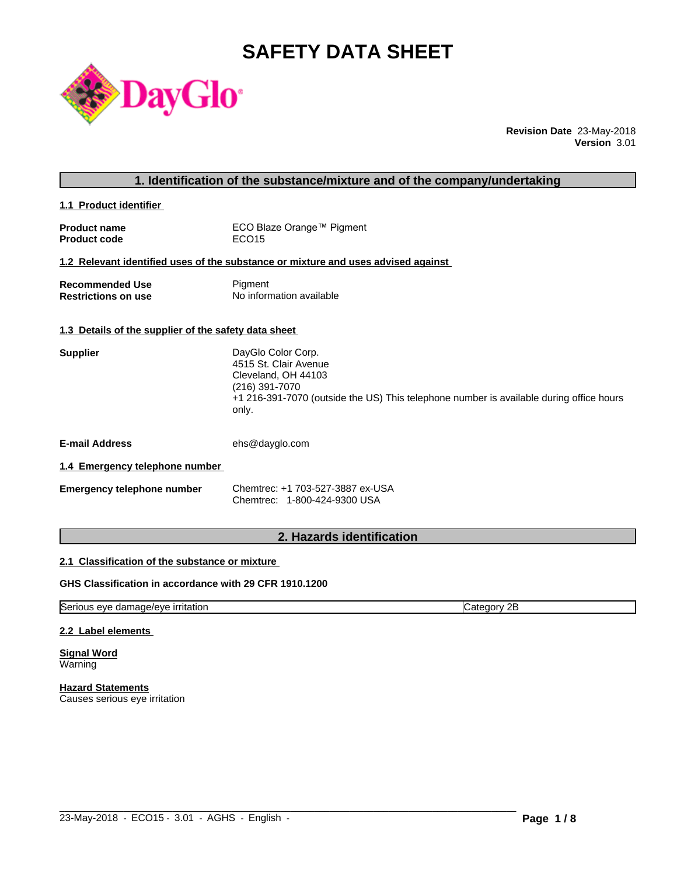# **SAFETY DATA SHEET**



**Revision Date** 23-May-2018 **Version** 3.01

| 1. Identification of the substance/mixture and of the company/undertaking |                                                                                                                                                                                          |  |
|---------------------------------------------------------------------------|------------------------------------------------------------------------------------------------------------------------------------------------------------------------------------------|--|
| 1.1 Product identifier                                                    |                                                                                                                                                                                          |  |
| <b>Product name</b><br><b>Product code</b>                                | ECO Blaze Orange™ Pigment<br>ECO <sub>15</sub>                                                                                                                                           |  |
|                                                                           | 1.2 Relevant identified uses of the substance or mixture and uses advised against                                                                                                        |  |
| <b>Recommended Use</b><br><b>Restrictions on use</b>                      | Pigment<br>No information available                                                                                                                                                      |  |
| 1.3 Details of the supplier of the safety data sheet                      |                                                                                                                                                                                          |  |
| <b>Supplier</b>                                                           | DayGlo Color Corp.<br>4515 St. Clair Avenue<br>Cleveland, OH 44103<br>(216) 391-7070<br>+1 216-391-7070 (outside the US) This telephone number is available during office hours<br>only. |  |
| <b>E-mail Address</b>                                                     | ehs@dayglo.com                                                                                                                                                                           |  |
| 1.4 Emergency telephone number                                            |                                                                                                                                                                                          |  |
| <b>Emergency telephone number</b>                                         | Chemtrec: +1 703-527-3887 ex-USA<br>Chemtrec: 1-800-424-9300 USA                                                                                                                         |  |
|                                                                           |                                                                                                                                                                                          |  |

## **2. Hazards identification**

#### **2.1 Classification of the substance or mixture**

## **GHS Classification in accordance with 29 CFR 1910.1200**

Serious eye damage/eye irritation Category 2B

 $\_$  ,  $\_$  ,  $\_$  ,  $\_$  ,  $\_$  ,  $\_$  ,  $\_$  ,  $\_$  ,  $\_$  ,  $\_$  ,  $\_$  ,  $\_$  ,  $\_$  ,  $\_$  ,  $\_$  ,  $\_$  ,  $\_$  ,  $\_$  ,  $\_$  ,  $\_$  ,  $\_$  ,  $\_$  ,  $\_$  ,  $\_$  ,  $\_$  ,  $\_$  ,  $\_$  ,  $\_$  ,  $\_$  ,  $\_$  ,  $\_$  ,  $\_$  ,  $\_$  ,  $\_$  ,  $\_$  ,  $\_$  ,  $\_$  ,

#### **2.2 Label elements**

**Signal Word** Warning

**Hazard Statements** Causes serious eye irritation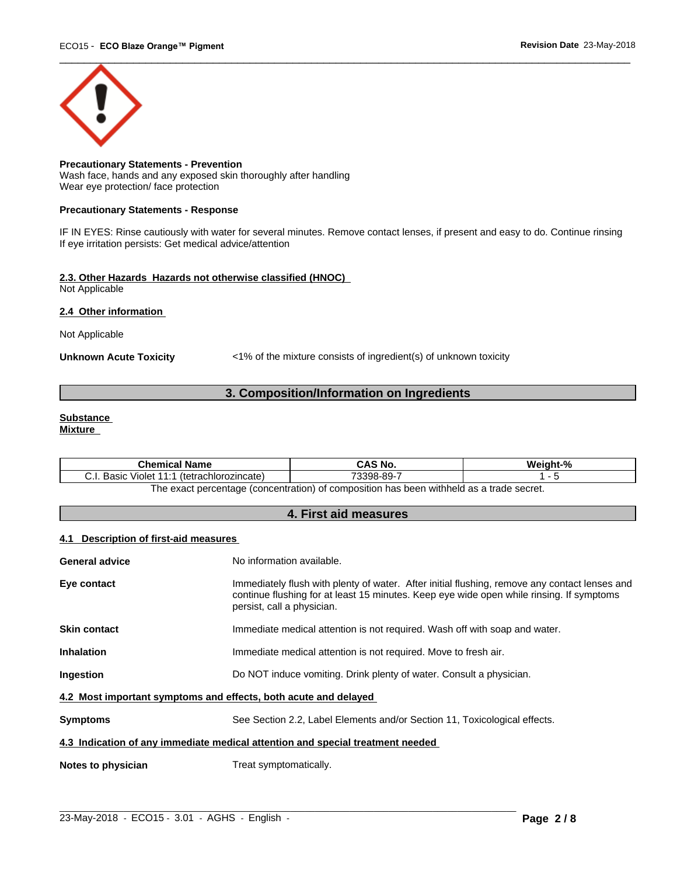

#### **Precautionary Statements - Prevention** Wash face, hands and any exposed skin thoroughly after handling Wear eye protection/ face protection

#### **Precautionary Statements - Response**

IF IN EYES: Rinse cautiously with water for several minutes. Remove contact lenses, if present and easy to do. Continue rinsing If eye irritation persists: Get medical advice/attention

#### **2.3. Other Hazards Hazards not otherwise classified (HNOC)** Not Applicable

#### **2.4 Other information**

Not Applicable

**Unknown Acute Toxicity** <1% of the mixture consists of ingredient(s) of unknown toxicity

## **3. Composition/Information on Ingredients**

## **Substance**

**Mixture**

| <b>Chemical Name</b>                               | CAS No.             | Weight-%                                      |
|----------------------------------------------------|---------------------|-----------------------------------------------|
| Basic<br>(tetrachlorozincate)<br>Violet<br>. ا . ب | 73398-89-           |                                               |
| exact percentage (concentration) c<br>he           | composition<br>- Ot | $\alpha$ has been withheld as a trade secret. |

## **4. First aid measures**

#### **4.1 Description of first-aid measures**

| <b>General advice</b>                                                          | No information available.                                                                                                                                                                                               |  |
|--------------------------------------------------------------------------------|-------------------------------------------------------------------------------------------------------------------------------------------------------------------------------------------------------------------------|--|
| Eye contact                                                                    | Immediately flush with plenty of water. After initial flushing, remove any contact lenses and<br>continue flushing for at least 15 minutes. Keep eye wide open while rinsing. If symptoms<br>persist, call a physician. |  |
| <b>Skin contact</b>                                                            | Immediate medical attention is not required. Wash off with soap and water.                                                                                                                                              |  |
| <b>Inhalation</b>                                                              | Immediate medical attention is not required. Move to fresh air.                                                                                                                                                         |  |
| <b>Ingestion</b>                                                               | Do NOT induce vomiting. Drink plenty of water. Consult a physician.                                                                                                                                                     |  |
| 4.2 Most important symptoms and effects, both acute and delayed                |                                                                                                                                                                                                                         |  |
| <b>Symptoms</b>                                                                | See Section 2.2, Label Elements and/or Section 11, Toxicological effects.                                                                                                                                               |  |
| 4.3 Indication of any immediate medical attention and special treatment needed |                                                                                                                                                                                                                         |  |
| Notes to physician                                                             | Treat symptomatically.                                                                                                                                                                                                  |  |
|                                                                                |                                                                                                                                                                                                                         |  |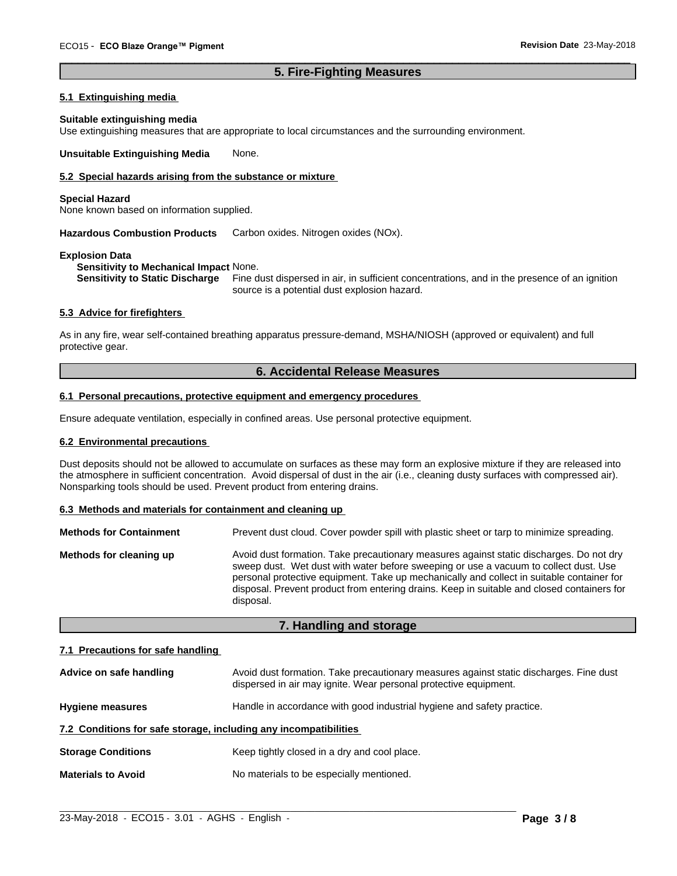#### **5. Fire-Fighting Measures**

 $\overline{\phantom{a}}$  ,  $\overline{\phantom{a}}$  ,  $\overline{\phantom{a}}$  ,  $\overline{\phantom{a}}$  ,  $\overline{\phantom{a}}$  ,  $\overline{\phantom{a}}$  ,  $\overline{\phantom{a}}$  ,  $\overline{\phantom{a}}$  ,  $\overline{\phantom{a}}$  ,  $\overline{\phantom{a}}$  ,  $\overline{\phantom{a}}$  ,  $\overline{\phantom{a}}$  ,  $\overline{\phantom{a}}$  ,  $\overline{\phantom{a}}$  ,  $\overline{\phantom{a}}$  ,  $\overline{\phantom{a}}$ 

#### **5.1 Extinguishing media**

#### **Suitable extinguishing media**

Use extinguishing measures that are appropriate to local circumstances and the surrounding environment.

**Unsuitable Extinguishing Media** None.

#### **5.2 Special hazards arising from the substance or mixture**

#### **Special Hazard**

None known based on information supplied.

**Hazardous Combustion Products** Carbon oxides. Nitrogen oxides (NOx).

#### **Explosion Data**

**Sensitivity to Mechanical Impact** None.

**Sensitivity to Static Discharge** Fine dust dispersed in air, in sufficient concentrations, and in the presence of an ignition source is a potential dust explosion hazard.

#### **5.3 Advice for firefighters**

As in any fire, wear self-contained breathing apparatus pressure-demand, MSHA/NIOSH (approved or equivalent) and full protective gear.

#### **6. Accidental Release Measures**

#### **6.1 Personal precautions, protective equipment and emergency procedures**

Ensure adequate ventilation, especially in confined areas. Use personal protective equipment.

#### **6.2 Environmental precautions**

Dust deposits should not be allowed to accumulate on surfaces as these may form an explosive mixture if they are released into the atmosphere in sufficient concentration. Avoid dispersal of dust in the air (i.e., cleaning dusty surfaces with compressed air). Nonsparking tools should be used. Prevent product from entering drains.

#### **6.3 Methods and materials for containment and cleaning up**

| <b>Methods for Containment</b> | Prevent dust cloud. Cover powder spill with plastic sheet or tarp to minimize spreading.                                                                                                                                                                                                                                                                                                |
|--------------------------------|-----------------------------------------------------------------------------------------------------------------------------------------------------------------------------------------------------------------------------------------------------------------------------------------------------------------------------------------------------------------------------------------|
| Methods for cleaning up        | Avoid dust formation. Take precautionary measures against static discharges. Do not dry<br>sweep dust. Wet dust with water before sweeping or use a vacuum to collect dust. Use<br>personal protective equipment. Take up mechanically and collect in suitable container for<br>disposal. Prevent product from entering drains. Keep in suitable and closed containers for<br>disposal. |

#### **7. Handling and storage**

#### **7.1 Precautions for safe handling**

| Advice on safe handling                                          | Avoid dust formation. Take precautionary measures against static discharges. Fine dust<br>dispersed in air may ignite. Wear personal protective equipment. |
|------------------------------------------------------------------|------------------------------------------------------------------------------------------------------------------------------------------------------------|
| <b>Hygiene measures</b>                                          | Handle in accordance with good industrial hygiene and safety practice.                                                                                     |
| 7.2 Conditions for safe storage, including any incompatibilities |                                                                                                                                                            |
| <b>Storage Conditions</b>                                        | Keep tightly closed in a dry and cool place.                                                                                                               |
| <b>Materials to Avoid</b>                                        | No materials to be especially mentioned.                                                                                                                   |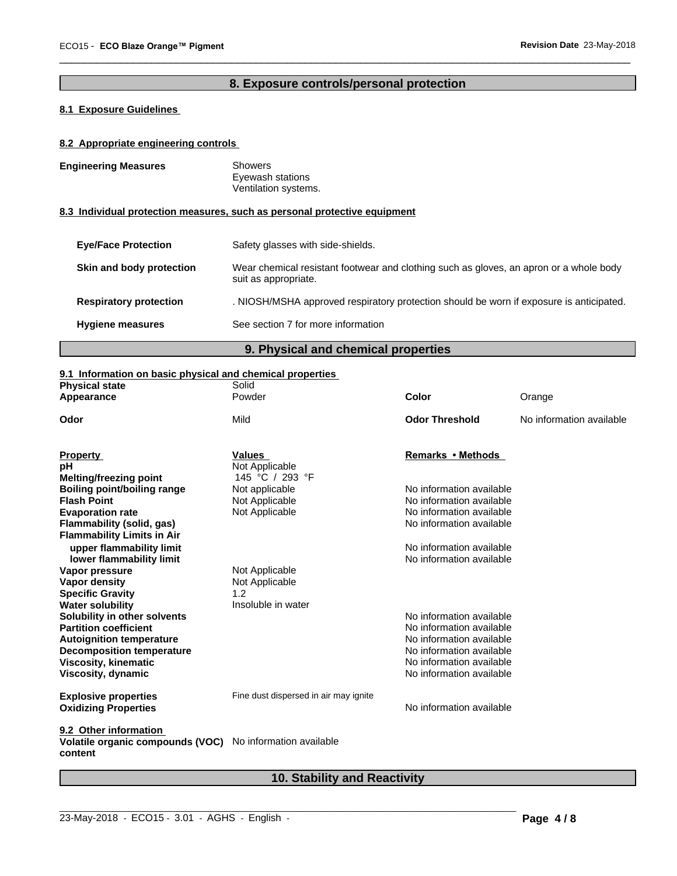## **8. Exposure controls/personal protection**

 $\overline{\phantom{a}}$  ,  $\overline{\phantom{a}}$  ,  $\overline{\phantom{a}}$  ,  $\overline{\phantom{a}}$  ,  $\overline{\phantom{a}}$  ,  $\overline{\phantom{a}}$  ,  $\overline{\phantom{a}}$  ,  $\overline{\phantom{a}}$  ,  $\overline{\phantom{a}}$  ,  $\overline{\phantom{a}}$  ,  $\overline{\phantom{a}}$  ,  $\overline{\phantom{a}}$  ,  $\overline{\phantom{a}}$  ,  $\overline{\phantom{a}}$  ,  $\overline{\phantom{a}}$  ,  $\overline{\phantom{a}}$ 

## **8.1 Exposure Guidelines**

#### **8.2 Appropriate engineering controls**

| <b>Engineering Measures</b>   | <b>Showers</b><br>Eyewash stations<br>Ventilation systems.                                                     |
|-------------------------------|----------------------------------------------------------------------------------------------------------------|
|                               | 8.3 Individual protection measures, such as personal protective equipment                                      |
| <b>Eve/Face Protection</b>    | Safety glasses with side-shields.                                                                              |
| Skin and body protection      | Wear chemical resistant footwear and clothing such as gloves, an apron or a whole body<br>suit as appropriate. |
| <b>Respiratory protection</b> | . NIOSH/MSHA approved respiratory protection should be worn if exposure is anticipated.                        |
| <b>Hygiene measures</b>       | See section 7 for more information                                                                             |

**9. Physical and chemical properties**

#### **9.1 Information on basic physical and chemical properties**

| <b>Physical state</b>                       | Solid                                 |                          |                          |
|---------------------------------------------|---------------------------------------|--------------------------|--------------------------|
| Appearance                                  | Powder                                | Color                    | Orange                   |
| Odor                                        | Mild                                  | <b>Odor Threshold</b>    | No information available |
| <b>Property</b>                             | <b>Values</b>                         | Remarks • Methods        |                          |
| рH                                          | Not Applicable                        |                          |                          |
| <b>Melting/freezing point</b>               | 145 °C / 293 °F                       |                          |                          |
| Boiling point/boiling range                 | Not applicable                        | No information available |                          |
| <b>Flash Point</b>                          | Not Applicable                        | No information available |                          |
| <b>Evaporation rate</b>                     | Not Applicable                        | No information available |                          |
| Flammability (solid, gas)                   |                                       | No information available |                          |
| <b>Flammability Limits in Air</b>           |                                       |                          |                          |
| upper flammability limit                    |                                       | No information available |                          |
| lower flammability limit                    |                                       | No information available |                          |
| Vapor pressure                              | Not Applicable                        |                          |                          |
| <b>Vapor density</b>                        | Not Applicable                        |                          |                          |
| <b>Specific Gravity</b>                     | 1.2                                   |                          |                          |
| <b>Water solubility</b>                     | Insoluble in water                    |                          |                          |
| Solubility in other solvents                |                                       | No information available |                          |
| <b>Partition coefficient</b>                |                                       | No information available |                          |
| <b>Autoignition temperature</b>             |                                       | No information available |                          |
| <b>Decomposition temperature</b>            |                                       | No information available |                          |
| <b>Viscosity, kinematic</b>                 |                                       | No information available |                          |
| Viscosity, dynamic                          |                                       | No information available |                          |
| <b>Explosive properties</b>                 | Fine dust dispersed in air may ignite |                          |                          |
| <b>Oxidizing Properties</b>                 |                                       | No information available |                          |
| 9.2 Other information                       |                                       |                          |                          |
| Volatile organic compounds (VOC)<br>content | No information available              |                          |                          |

## **10. Stability and Reactivity**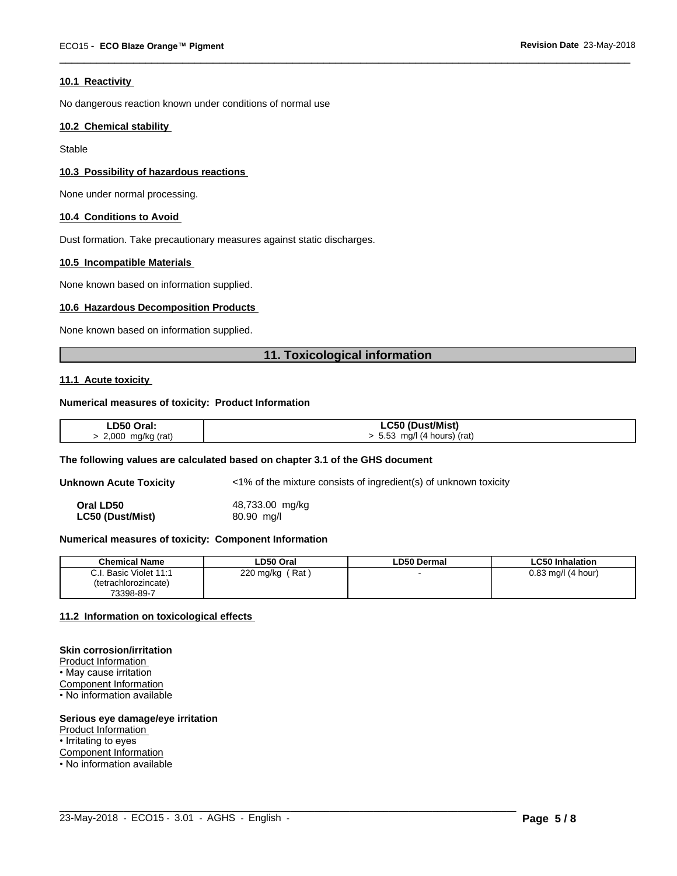#### **10.1 Reactivity**

No dangerous reaction known under conditions of normal use

#### **10.2 Chemical stability**

**Stable** 

#### **10.3 Possibility of hazardous reactions**

None under normal processing.

#### **10.4 Conditions to Avoid**

Dust formation. Take precautionary measures against static discharges.

#### **10.5 Incompatible Materials**

None known based on information supplied.

#### **10.6 Hazardous Decomposition Products**

None known based on information supplied.

#### **11. Toxicological information**

 $\overline{\phantom{a}}$  ,  $\overline{\phantom{a}}$  ,  $\overline{\phantom{a}}$  ,  $\overline{\phantom{a}}$  ,  $\overline{\phantom{a}}$  ,  $\overline{\phantom{a}}$  ,  $\overline{\phantom{a}}$  ,  $\overline{\phantom{a}}$  ,  $\overline{\phantom{a}}$  ,  $\overline{\phantom{a}}$  ,  $\overline{\phantom{a}}$  ,  $\overline{\phantom{a}}$  ,  $\overline{\phantom{a}}$  ,  $\overline{\phantom{a}}$  ,  $\overline{\phantom{a}}$  ,  $\overline{\phantom{a}}$ 

#### **11.1 Acute toxicity**

#### **Numerical measures of toxicity: Product Information**

| LD50 Oral:          | LC50 (Dust/Mist)              |
|---------------------|-------------------------------|
| $2,000$ mg/kg (rat) | $> 5.53$ mg/l (4 hours) (rat) |

#### **The following values are calculated based on chapter 3.1 of the GHS document**

**Unknown Acute Toxicity**  $\langle 1\% \rangle$  of the mixture consists of ingredient(s) of unknown toxicity

**Oral LD50** 48,733.00 mg/kg **LC50 (Dust/Mist)** 80.90 mg/l

#### **Numerical measures of toxicity: Component Information**

| <b>Chemical Name</b>      | LD50 Oral        | <b>LD50 Dermal</b> | <b>LC50 Inhalation</b> |
|---------------------------|------------------|--------------------|------------------------|
| Basic Violet 11:1<br>C.I. | Rat<br>220 mg/kg |                    | $0.83$ mg/l (4 hour)   |
| (tetrachlorozincate)      |                  |                    |                        |
| 73398-89-7                |                  |                    |                        |

 $\_$  ,  $\_$  ,  $\_$  ,  $\_$  ,  $\_$  ,  $\_$  ,  $\_$  ,  $\_$  ,  $\_$  ,  $\_$  ,  $\_$  ,  $\_$  ,  $\_$  ,  $\_$  ,  $\_$  ,  $\_$  ,  $\_$  ,  $\_$  ,  $\_$  ,  $\_$  ,  $\_$  ,  $\_$  ,  $\_$  ,  $\_$  ,  $\_$  ,  $\_$  ,  $\_$  ,  $\_$  ,  $\_$  ,  $\_$  ,  $\_$  ,  $\_$  ,  $\_$  ,  $\_$  ,  $\_$  ,  $\_$  ,  $\_$  ,

#### **11.2 Information on toxicologicaleffects**

### **Skin corrosion/irritation**

Product Information • May cause irritation Component Information • No information available

#### **Serious eye damage/eye irritation**

Product Information

• Irritating to eyes

Component Information

• No information available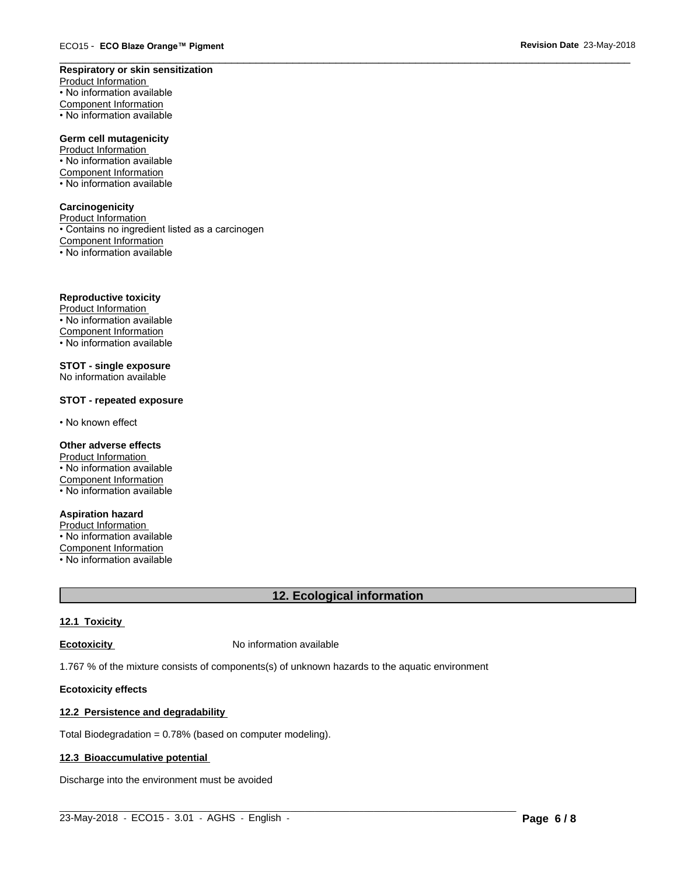#### **Respiratory or skin sensitization**

Product Information • No information available Component Information • No information available

#### **Germ cell mutagenicity**

Product Information • No information available Component Information • No information available

#### **Carcinogenicity**

Product Information • Contains no ingredient listed as a carcinogen Component Information  $\overline{\cdot}$  No information available

#### **Reproductive toxicity**

Product Information • No information available Component Information • No information available

#### **STOT - single exposure** No information available

#### **STOT - repeated exposure**

• No known effect

#### **Other adverse effects**

Product Information • No information available Component Information • No information available

#### **Aspiration hazard**

Product Information • No information available Component Information • No information available

## **12. Ecological information**

 $\_$  ,  $\_$  ,  $\_$  ,  $\_$  ,  $\_$  ,  $\_$  ,  $\_$  ,  $\_$  ,  $\_$  ,  $\_$  ,  $\_$  ,  $\_$  ,  $\_$  ,  $\_$  ,  $\_$  ,  $\_$  ,  $\_$  ,  $\_$  ,  $\_$  ,  $\_$  ,  $\_$  ,  $\_$  ,  $\_$  ,  $\_$  ,  $\_$  ,  $\_$  ,  $\_$  ,  $\_$  ,  $\_$  ,  $\_$  ,  $\_$  ,  $\_$  ,  $\_$  ,  $\_$  ,  $\_$  ,  $\_$  ,  $\_$  ,

 $\overline{\phantom{a}}$  ,  $\overline{\phantom{a}}$  ,  $\overline{\phantom{a}}$  ,  $\overline{\phantom{a}}$  ,  $\overline{\phantom{a}}$  ,  $\overline{\phantom{a}}$  ,  $\overline{\phantom{a}}$  ,  $\overline{\phantom{a}}$  ,  $\overline{\phantom{a}}$  ,  $\overline{\phantom{a}}$  ,  $\overline{\phantom{a}}$  ,  $\overline{\phantom{a}}$  ,  $\overline{\phantom{a}}$  ,  $\overline{\phantom{a}}$  ,  $\overline{\phantom{a}}$  ,  $\overline{\phantom{a}}$ 

#### **12.1 Toxicity**

**Ecotoxicity No information available** 

1.767 % of the mixture consists of components(s) of unknown hazards to the aquatic environment

#### **Ecotoxicity effects**

#### **12.2 Persistence and degradability**

Total Biodegradation = 0.78% (based on computer modeling).

#### **12.3 Bioaccumulative potential**

Discharge into the environment must be avoided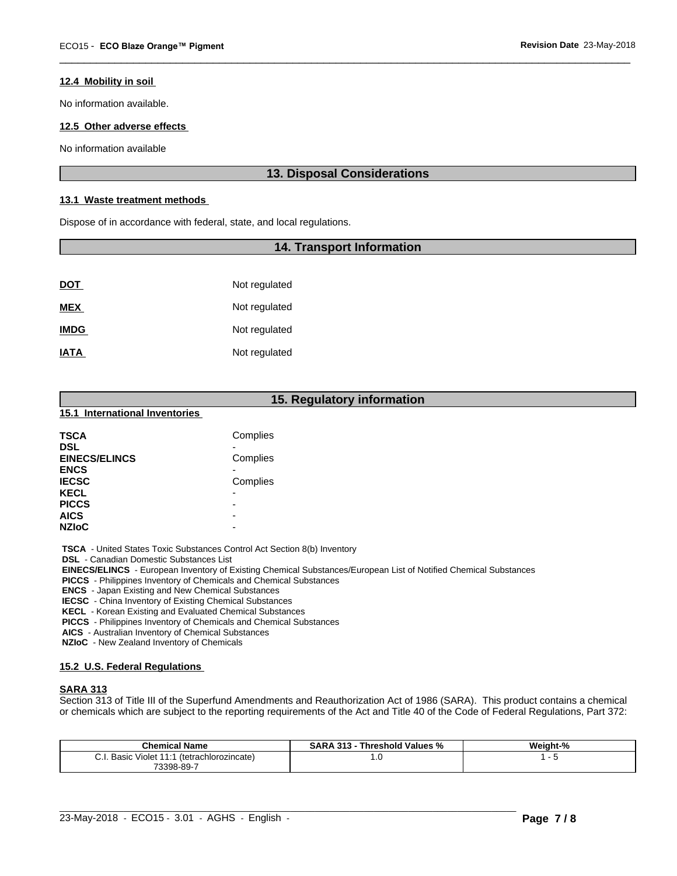#### **12.4 Mobility in soil**

No information available.

### **12.5 Other adverse effects**

No information available

## **13. Disposal Considerations**

 $\overline{\phantom{a}}$  ,  $\overline{\phantom{a}}$  ,  $\overline{\phantom{a}}$  ,  $\overline{\phantom{a}}$  ,  $\overline{\phantom{a}}$  ,  $\overline{\phantom{a}}$  ,  $\overline{\phantom{a}}$  ,  $\overline{\phantom{a}}$  ,  $\overline{\phantom{a}}$  ,  $\overline{\phantom{a}}$  ,  $\overline{\phantom{a}}$  ,  $\overline{\phantom{a}}$  ,  $\overline{\phantom{a}}$  ,  $\overline{\phantom{a}}$  ,  $\overline{\phantom{a}}$  ,  $\overline{\phantom{a}}$ 

### **13.1 Waste treatment methods**

Dispose of in accordance with federal, state, and local regulations.

#### **14. Transport Information**

| <u>DOT</u>  | Not regulated |
|-------------|---------------|
| <b>MEX</b>  | Not regulated |
| <b>IMDG</b> | Not regulated |
| <b>IATA</b> | Not regulated |

|                                                | 15. Regulatory information                                                      |
|------------------------------------------------|---------------------------------------------------------------------------------|
| 15.1 International Inventories                 |                                                                                 |
| <b>TSCA</b>                                    | Complies                                                                        |
| <b>DSL</b>                                     |                                                                                 |
| <b>EINECS/ELINCS</b>                           | Complies                                                                        |
| <b>ENCS</b>                                    |                                                                                 |
| <b>IECSC</b>                                   | Complies                                                                        |
| <b>KECL</b>                                    |                                                                                 |
| <b>PICCS</b>                                   |                                                                                 |
| <b>AICS</b>                                    |                                                                                 |
| <b>NZIoC</b>                                   |                                                                                 |
|                                                | <b>TSCA</b> - United States Toxic Substances Control Act Section 8(b) Inventory |
| <b>DSL</b> - Canadian Domestic Substances List |                                                                                 |

 **EINECS/ELINCS** - European Inventory of Existing Chemical Substances/European List of Notified Chemical Substances

 **PICCS** - Philippines Inventory of Chemicals and Chemical Substances

 **ENCS** - Japan Existing and New Chemical Substances

 **IECSC** - China Inventory of Existing Chemical Substances

 **KECL** - Korean Existing and Evaluated Chemical Substances

 **PICCS** - Philippines Inventory of Chemicals and Chemical Substances

 **AICS** - Australian Inventory of Chemical Substances

 **NZIoC** - New Zealand Inventory of Chemicals

#### **15.2 U.S. Federal Regulations**

#### **SARA 313**

Section 313 of Title III of the Superfund Amendments and Reauthorization Act of 1986 (SARA). This product contains a chemical or chemicals which are subject to the reporting requirements of the Act and Title 40 of the Code of Federal Regulations, Part 372:

| <b>Chemical Name</b>                                     | <b>SARA 313</b><br>Threshold Values<br>"∕∘ | Weight-% |  |
|----------------------------------------------------------|--------------------------------------------|----------|--|
| Basic<br>ً 41.4 Violet ان س<br>(tetrachlorozincate)<br>◡ | ب                                          |          |  |
| 73398-89-7                                               |                                            |          |  |